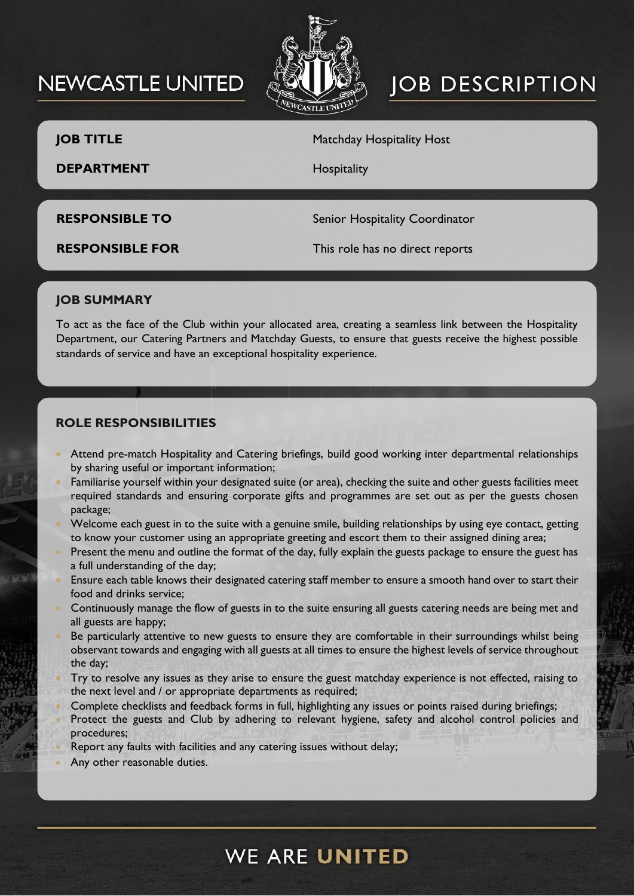# **NEWCASTLE UNITED**



# **JOB DESCRIPTION**

**JOB TITLE** Matchday Hospitality Host

**DEPARTMENT** Hospitality

**RESPONSIBLE TO** Senior Hospitality Coordinator

**RESPONSIBLE FOR** This role has no direct reports

### **JOB SUMMARY**

To act as the face of the Club within your allocated area, creating a seamless link between the Hospitality Department, our Catering Partners and Matchday Guests, to ensure that guests receive the highest possible standards of service and have an exceptional hospitality experience.

### **ROLE RESPONSIBILITIES**

- Attend pre-match Hospitality and Catering briefings, build good working inter departmental relationships by sharing useful or important information;
- Familiarise yourself within your designated suite (or area), checking the suite and other guests facilities meet required standards and ensuring corporate gifts and programmes are set out as per the guests chosen package;
- Welcome each guest in to the suite with a genuine smile, building relationships by using eye contact, getting to know your customer using an appropriate greeting and escort them to their assigned dining area;
- Present the menu and outline the format of the day, fully explain the guests package to ensure the guest has a full understanding of the day;
- Ensure each table knows their designated catering staff member to ensure a smooth hand over to start their food and drinks service;
- Continuously manage the flow of guests in to the suite ensuring all guests catering needs are being met and all guests are happy;
- Be particularly attentive to new guests to ensure they are comfortable in their surroundings whilst being observant towards and engaging with all guests at all times to ensure the highest levels of service throughout the day;
- Try to resolve any issues as they arise to ensure the guest matchday experience is not effected, raising to the next level and / or appropriate departments as required;
- Complete checklists and feedback forms in full, highlighting any issues or points raised during briefings;
- Protect the guests and Club by adhering to relevant hygiene, safety and alcohol control policies and procedures;
- Report any faults with facilities and any catering issues without delay;
- Any other reasonable duties.

# **WE ARE UNITED**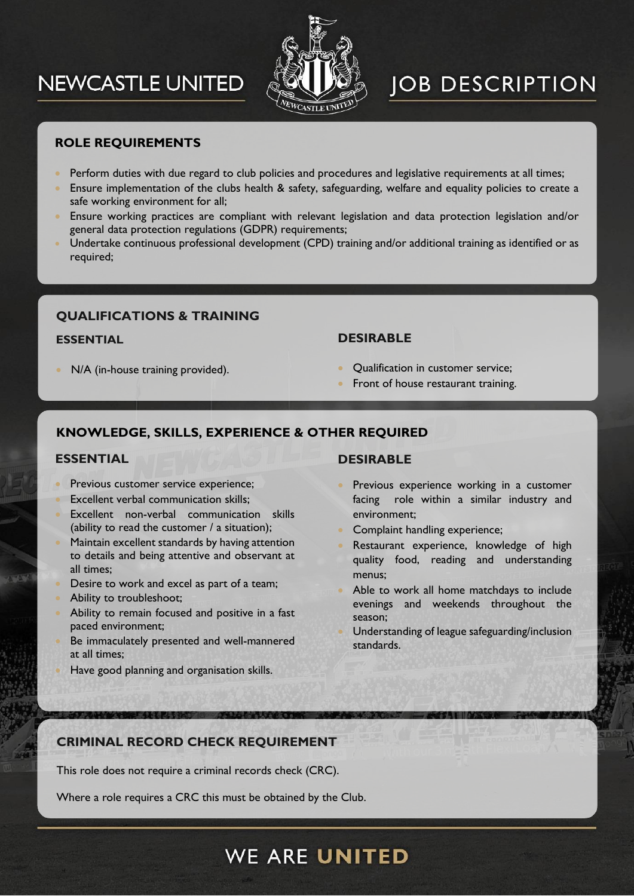# **NEWCASTLE UNITED**



# **JOB DESCRIPTION**

### **ROLE REQUIREMENTS**

- Perform duties with due regard to club policies and procedures and legislative requirements at all times;
- Ensure implementation of the clubs health & safety, safeguarding, welfare and equality policies to create a safe working environment for all;
- Ensure working practices are compliant with relevant legislation and data protection legislation and/or general data protection regulations (GDPR) requirements;
- Undertake continuous professional development (CPD) training and/or additional training as identified or as required;

### **QUALIFICATIONS & TRAINING**

#### **ESSENTIAL**

N/A (in-house training provided).

#### **DESIRABLE**

- Qualification in customer service;
- Front of house restaurant training.

### **KNOWLEDGE, SKILLS, EXPERIENCE & OTHER REQUIRED**

#### **ESSENTIAL**

- Previous customer service experience;
- Excellent verbal communication skills;
- Excellent non-verbal communication skills (ability to read the customer / a situation);
- Maintain excellent standards by having attention to details and being attentive and observant at all times;
- Desire to work and excel as part of a team;
- Ability to troubleshoot;
- Ability to remain focused and positive in a fast paced environment;
- Be immaculately presented and well-mannered at all times;
- Have good planning and organisation skills.

#### **DESIRABLE**

- Previous experience working in a customer facing role within a similar industry and environment;
- Complaint handling experience;
- Restaurant experience, knowledge of high quality food, reading and understanding menus;
- Able to work all home matchdays to include evenings and weekends throughout the season;
- Understanding of league safeguarding/inclusion standards.

### **CRIMINAL RECORD CHECK REQUIREMENT**

This role does not require a criminal records check (CRC).

Where a role requires a CRC this must be obtained by the Club.

**WE ARE UNITED**